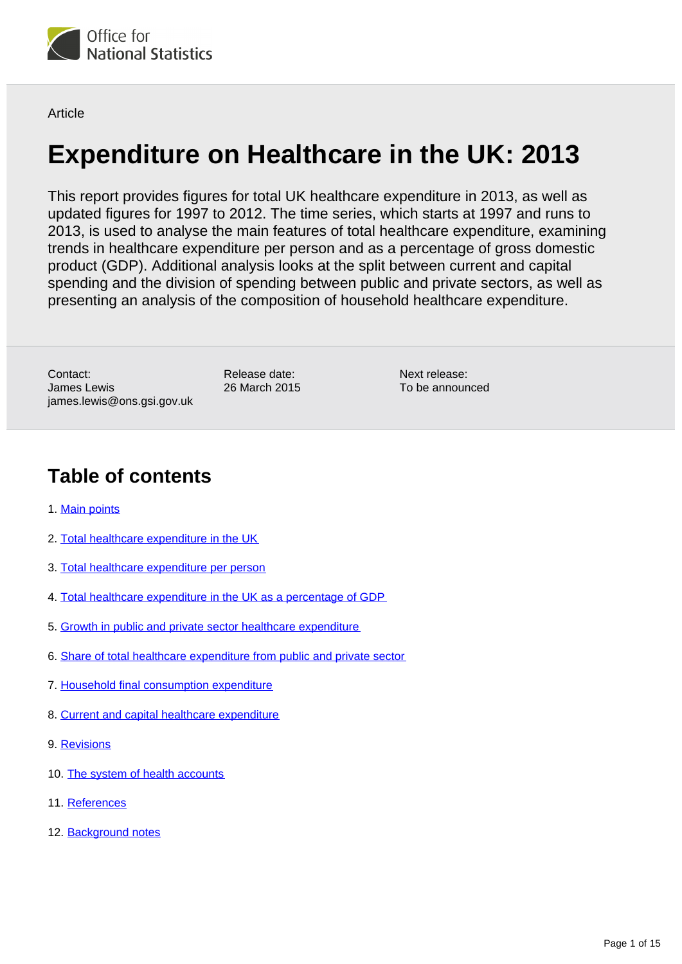

**Article** 

# **Expenditure on Healthcare in the UK: 2013**

This report provides figures for total UK healthcare expenditure in 2013, as well as updated figures for 1997 to 2012. The time series, which starts at 1997 and runs to 2013, is used to analyse the main features of total healthcare expenditure, examining trends in healthcare expenditure per person and as a percentage of gross domestic product (GDP). Additional analysis looks at the split between current and capital spending and the division of spending between public and private sectors, as well as presenting an analysis of the composition of household healthcare expenditure.

Contact: James Lewis james.lewis@ons.gsi.gov.uk Release date: 26 March 2015

Next release: To be announced

### **Table of contents**

- 1. [Main points](#page-1-0)
- 2. [Total healthcare expenditure in the UK](#page-1-1)
- 3. [Total healthcare expenditure per person](#page-2-0)
- 4. [Total healthcare expenditure in the UK as a percentage of GDP](#page-3-0)
- 5. [Growth in public and private sector healthcare expenditure](#page-4-0)
- 6. [Share of total healthcare expenditure from public and private sector](#page-5-0)
- 7. [Household final consumption expenditure](#page-7-0)
- 8. [Current and capital healthcare expenditure](#page-8-0)
- 9. [Revisions](#page-9-0)
- 10. [The system of health accounts](#page-10-0)
- 11. [References](#page-11-0)
- 12. [Background notes](#page-11-1)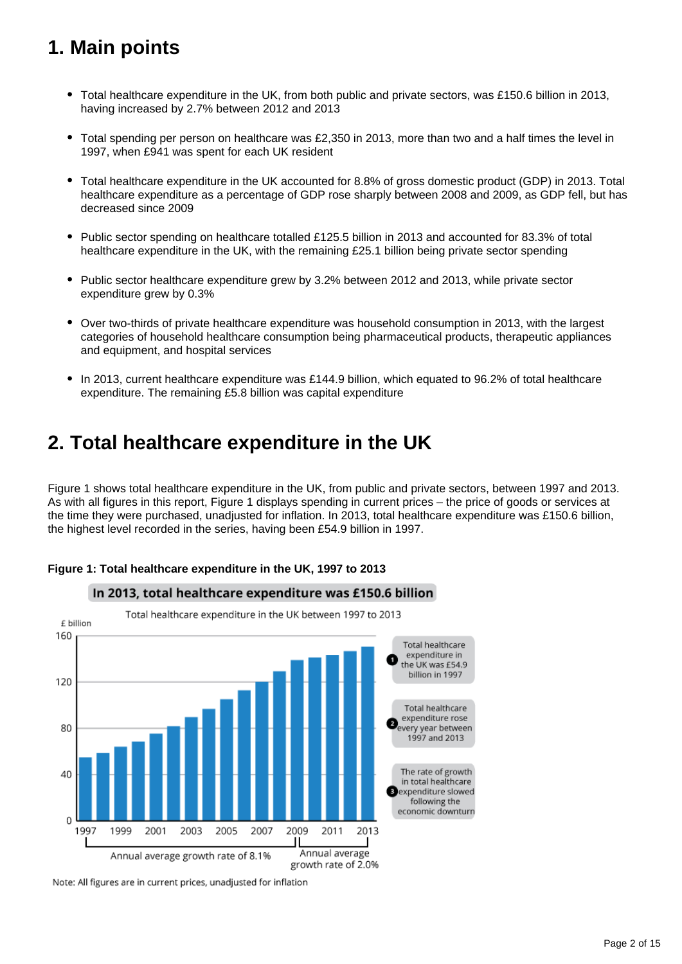## <span id="page-1-0"></span>**1. Main points**

- Total healthcare expenditure in the UK, from both public and private sectors, was £150.6 billion in 2013, having increased by 2.7% between 2012 and 2013
- Total spending per person on healthcare was £2,350 in 2013, more than two and a half times the level in  $\bullet$ 1997, when £941 was spent for each UK resident
- Total healthcare expenditure in the UK accounted for 8.8% of gross domestic product (GDP) in 2013. Total healthcare expenditure as a percentage of GDP rose sharply between 2008 and 2009, as GDP fell, but has decreased since 2009
- Public sector spending on healthcare totalled £125.5 billion in 2013 and accounted for 83.3% of total healthcare expenditure in the UK, with the remaining £25.1 billion being private sector spending
- Public sector healthcare expenditure grew by 3.2% between 2012 and 2013, while private sector expenditure grew by 0.3%
- Over two-thirds of private healthcare expenditure was household consumption in 2013, with the largest categories of household healthcare consumption being pharmaceutical products, therapeutic appliances and equipment, and hospital services
- In 2013, current healthcare expenditure was £144.9 billion, which equated to 96.2% of total healthcare expenditure. The remaining £5.8 billion was capital expenditure

## <span id="page-1-1"></span>**2. Total healthcare expenditure in the UK**

Figure 1 shows total healthcare expenditure in the UK, from public and private sectors, between 1997 and 2013. As with all figures in this report, Figure 1 displays spending in current prices – the price of goods or services at the time they were purchased, unadjusted for inflation. In 2013, total healthcare expenditure was £150.6 billion, the highest level recorded in the series, having been £54.9 billion in 1997.



#### **Figure 1: Total healthcare expenditure in the UK, 1997 to 2013**

Note: All figures are in current prices, unadjusted for inflation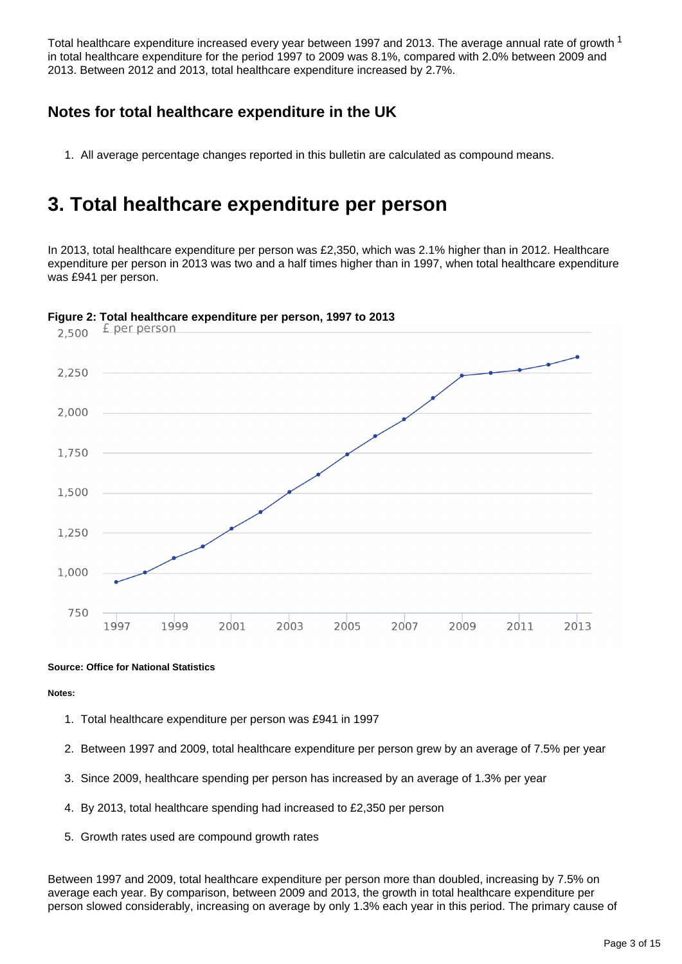Total healthcare expenditure increased every year between 1997 and 2013. The average annual rate of growth <sup>1</sup> in total healthcare expenditure for the period 1997 to 2009 was 8.1%, compared with 2.0% between 2009 and 2013. Between 2012 and 2013, total healthcare expenditure increased by 2.7%.

### **Notes for total healthcare expenditure in the UK**

1. All average percentage changes reported in this bulletin are calculated as compound means.

### <span id="page-2-0"></span>**3. Total healthcare expenditure per person**

In 2013, total healthcare expenditure per person was £2,350, which was 2.1% higher than in 2012. Healthcare expenditure per person in 2013 was two and a half times higher than in 1997, when total healthcare expenditure was £941 per person.



**Figure 2: Total healthcare expenditure per person, 1997 to 2013**

#### **Source: Office for National Statistics**

#### **Notes:**

- 1. Total healthcare expenditure per person was £941 in 1997
- 2. Between 1997 and 2009, total healthcare expenditure per person grew by an average of 7.5% per year
- 3. Since 2009, healthcare spending per person has increased by an average of 1.3% per year
- 4. By 2013, total healthcare spending had increased to £2,350 per person
- 5. Growth rates used are compound growth rates

Between 1997 and 2009, total healthcare expenditure per person more than doubled, increasing by 7.5% on average each year. By comparison, between 2009 and 2013, the growth in total healthcare expenditure per person slowed considerably, increasing on average by only 1.3% each year in this period. The primary cause of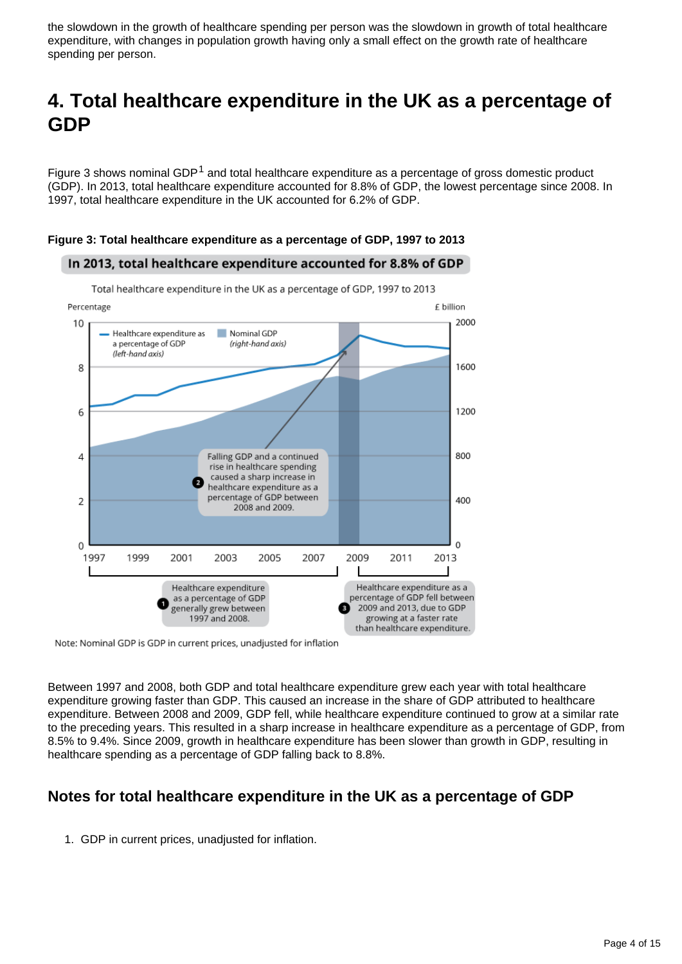the slowdown in the growth of healthcare spending per person was the slowdown in growth of total healthcare expenditure, with changes in population growth having only a small effect on the growth rate of healthcare spending per person.

## <span id="page-3-0"></span>**4. Total healthcare expenditure in the UK as a percentage of GDP**

Figure 3 shows nominal GDP<sup>1</sup> and total healthcare expenditure as a percentage of gross domestic product (GDP). In 2013, total healthcare expenditure accounted for 8.8% of GDP, the lowest percentage since 2008. In 1997, total healthcare expenditure in the UK accounted for 6.2% of GDP.



**Figure 3: Total healthcare expenditure as a percentage of GDP, 1997 to 2013**

In 2013, total healthcare expenditure accounted for 8.8% of GDP

Note: Nominal GDP is GDP in current prices, unadjusted for inflation

Between 1997 and 2008, both GDP and total healthcare expenditure grew each year with total healthcare expenditure growing faster than GDP. This caused an increase in the share of GDP attributed to healthcare expenditure. Between 2008 and 2009, GDP fell, while healthcare expenditure continued to grow at a similar rate to the preceding years. This resulted in a sharp increase in healthcare expenditure as a percentage of GDP, from 8.5% to 9.4%. Since 2009, growth in healthcare expenditure has been slower than growth in GDP, resulting in healthcare spending as a percentage of GDP falling back to 8.8%.

### **Notes for total healthcare expenditure in the UK as a percentage of GDP**

1. GDP in current prices, unadjusted for inflation.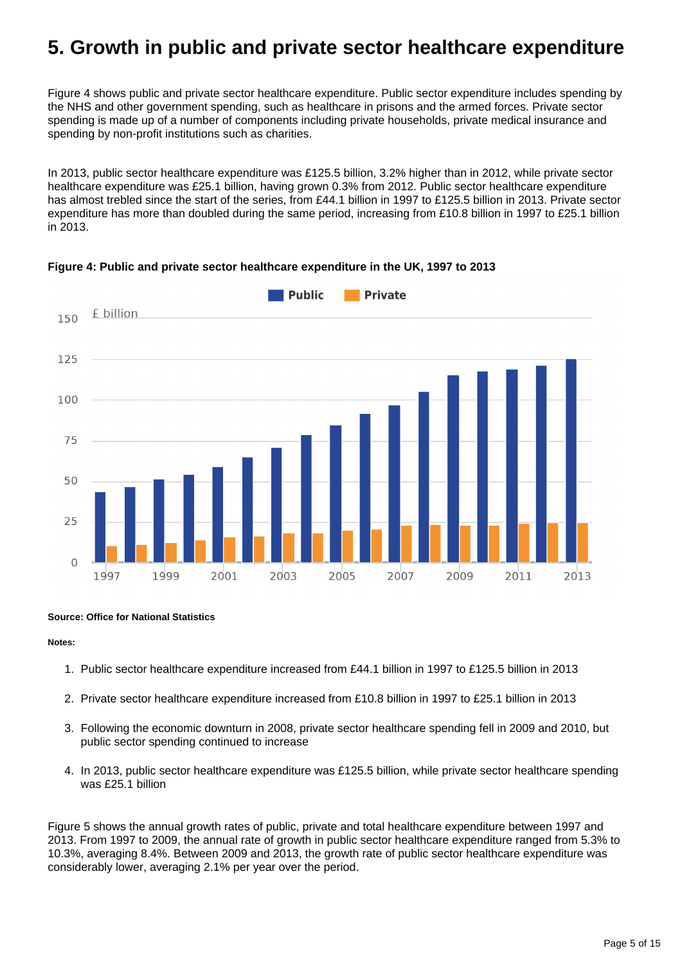### <span id="page-4-0"></span>**5. Growth in public and private sector healthcare expenditure**

Figure 4 shows public and private sector healthcare expenditure. Public sector expenditure includes spending by the NHS and other government spending, such as healthcare in prisons and the armed forces. Private sector spending is made up of a number of components including private households, private medical insurance and spending by non-profit institutions such as charities.

In 2013, public sector healthcare expenditure was £125.5 billion, 3.2% higher than in 2012, while private sector healthcare expenditure was £25.1 billion, having grown 0.3% from 2012. Public sector healthcare expenditure has almost trebled since the start of the series, from £44.1 billion in 1997 to £125.5 billion in 2013. Private sector expenditure has more than doubled during the same period, increasing from £10.8 billion in 1997 to £25.1 billion in 2013.



#### **Figure 4: Public and private sector healthcare expenditure in the UK, 1997 to 2013**

#### **Source: Office for National Statistics**

#### **Notes:**

- 1. Public sector healthcare expenditure increased from £44.1 billion in 1997 to £125.5 billion in 2013
- 2. Private sector healthcare expenditure increased from £10.8 billion in 1997 to £25.1 billion in 2013
- 3. Following the economic downturn in 2008, private sector healthcare spending fell in 2009 and 2010, but public sector spending continued to increase
- 4. In 2013, public sector healthcare expenditure was £125.5 billion, while private sector healthcare spending was £25.1 billion

Figure 5 shows the annual growth rates of public, private and total healthcare expenditure between 1997 and 2013. From 1997 to 2009, the annual rate of growth in public sector healthcare expenditure ranged from 5.3% to 10.3%, averaging 8.4%. Between 2009 and 2013, the growth rate of public sector healthcare expenditure was considerably lower, averaging 2.1% per year over the period.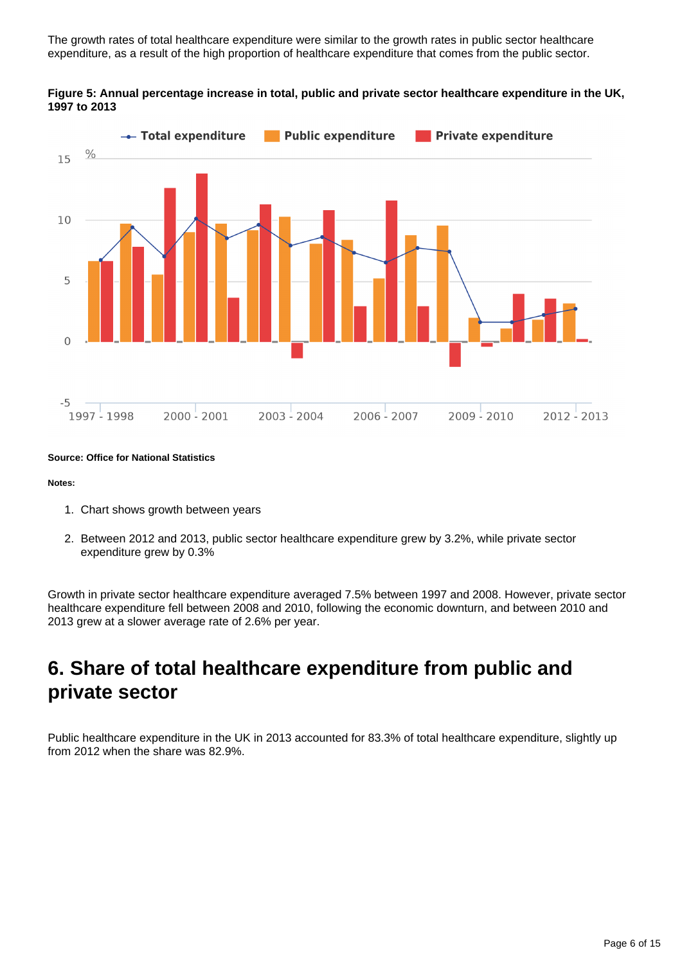The growth rates of total healthcare expenditure were similar to the growth rates in public sector healthcare expenditure, as a result of the high proportion of healthcare expenditure that comes from the public sector.





**Source: Office for National Statistics**

#### **Notes:**

- 1. Chart shows growth between years
- 2. Between 2012 and 2013, public sector healthcare expenditure grew by 3.2%, while private sector expenditure grew by 0.3%

Growth in private sector healthcare expenditure averaged 7.5% between 1997 and 2008. However, private sector healthcare expenditure fell between 2008 and 2010, following the economic downturn, and between 2010 and 2013 grew at a slower average rate of 2.6% per year.

### <span id="page-5-0"></span>**6. Share of total healthcare expenditure from public and private sector**

Public healthcare expenditure in the UK in 2013 accounted for 83.3% of total healthcare expenditure, slightly up from 2012 when the share was 82.9%.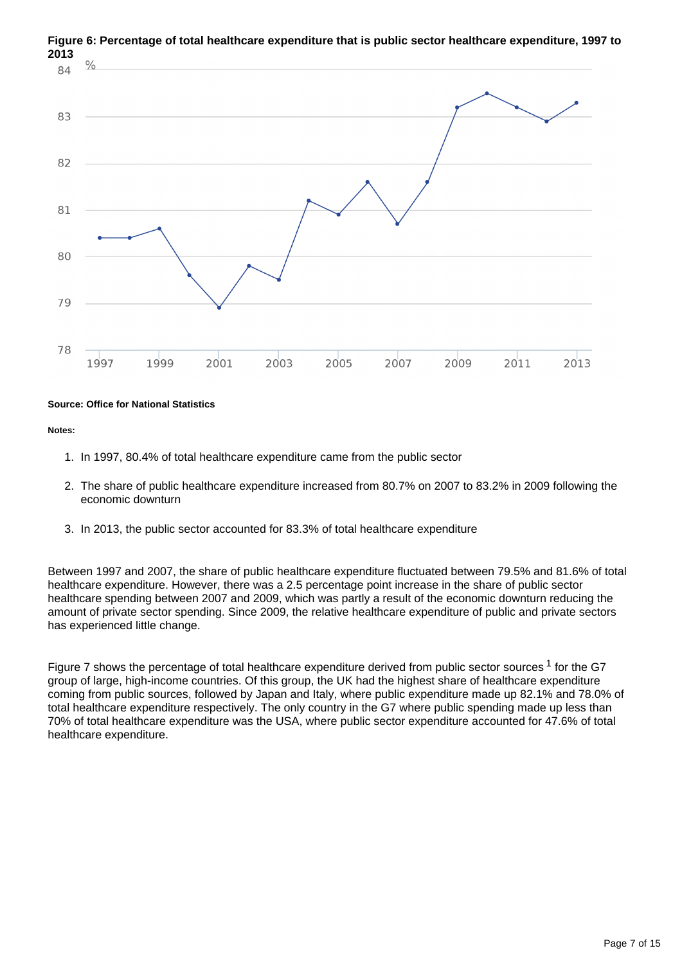

**Figure 6: Percentage of total healthcare expenditure that is public sector healthcare expenditure, 1997 to 2013**

#### **Source: Office for National Statistics**

#### **Notes:**

- 1. In 1997, 80.4% of total healthcare expenditure came from the public sector
- 2. The share of public healthcare expenditure increased from 80.7% on 2007 to 83.2% in 2009 following the economic downturn
- 3. In 2013, the public sector accounted for 83.3% of total healthcare expenditure

Between 1997 and 2007, the share of public healthcare expenditure fluctuated between 79.5% and 81.6% of total healthcare expenditure. However, there was a 2.5 percentage point increase in the share of public sector healthcare spending between 2007 and 2009, which was partly a result of the economic downturn reducing the amount of private sector spending. Since 2009, the relative healthcare expenditure of public and private sectors has experienced little change.

Figure 7 shows the percentage of total healthcare expenditure derived from public sector sources  $1$  for the G7 group of large, high-income countries. Of this group, the UK had the highest share of healthcare expenditure coming from public sources, followed by Japan and Italy, where public expenditure made up 82.1% and 78.0% of total healthcare expenditure respectively. The only country in the G7 where public spending made up less than 70% of total healthcare expenditure was the USA, where public sector expenditure accounted for 47.6% of total healthcare expenditure.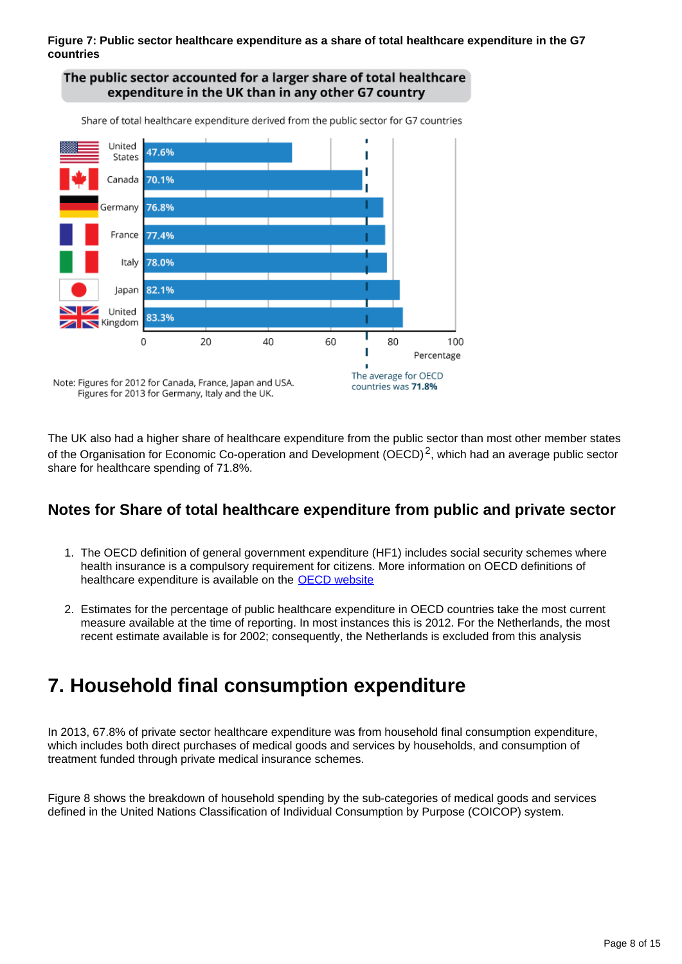#### **Figure 7: Public sector healthcare expenditure as a share of total healthcare expenditure in the G7 countries**



The UK also had a higher share of healthcare expenditure from the public sector than most other member states of the Organisation for Economic Co-operation and Development (OECD)<sup>2</sup>, which had an average public sector share for healthcare spending of 71.8%.

### **Notes for Share of total healthcare expenditure from public and private sector**

- 1. The OECD definition of general government expenditure (HF1) includes social security schemes where health insurance is a compulsory requirement for citizens. More information on OECD definitions of healthcare expenditure is available on the **OECD** website
- 2. Estimates for the percentage of public healthcare expenditure in OECD countries take the most current measure available at the time of reporting. In most instances this is 2012. For the Netherlands, the most recent estimate available is for 2002; consequently, the Netherlands is excluded from this analysis

### <span id="page-7-0"></span>**7. Household final consumption expenditure**

In 2013, 67.8% of private sector healthcare expenditure was from household final consumption expenditure, which includes both direct purchases of medical goods and services by households, and consumption of treatment funded through private medical insurance schemes.

Figure 8 shows the breakdown of household spending by the sub-categories of medical goods and services defined in the United Nations Classification of Individual Consumption by Purpose (COICOP) system.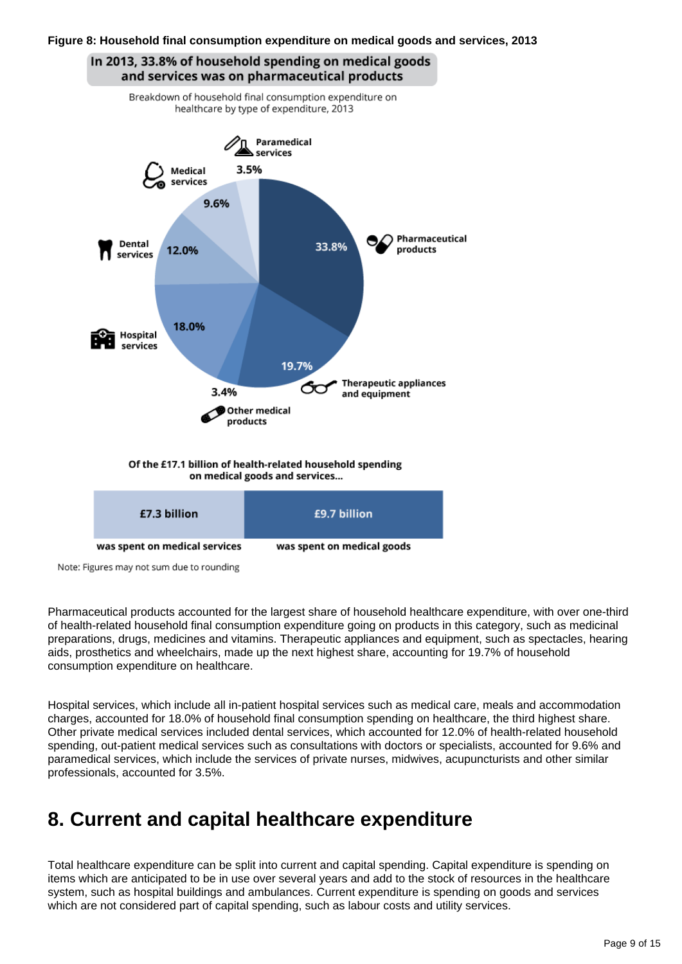#### **Figure 8: Household final consumption expenditure on medical goods and services, 2013**



Note: Figures may not sum due to rounding

Pharmaceutical products accounted for the largest share of household healthcare expenditure, with over one-third of health-related household final consumption expenditure going on products in this category, such as medicinal preparations, drugs, medicines and vitamins. Therapeutic appliances and equipment, such as spectacles, hearing aids, prosthetics and wheelchairs, made up the next highest share, accounting for 19.7% of household consumption expenditure on healthcare.

Hospital services, which include all in-patient hospital services such as medical care, meals and accommodation charges, accounted for 18.0% of household final consumption spending on healthcare, the third highest share. Other private medical services included dental services, which accounted for 12.0% of health-related household spending, out-patient medical services such as consultations with doctors or specialists, accounted for 9.6% and paramedical services, which include the services of private nurses, midwives, acupuncturists and other similar professionals, accounted for 3.5%.

### <span id="page-8-0"></span>**8. Current and capital healthcare expenditure**

Total healthcare expenditure can be split into current and capital spending. Capital expenditure is spending on items which are anticipated to be in use over several years and add to the stock of resources in the healthcare system, such as hospital buildings and ambulances. Current expenditure is spending on goods and services which are not considered part of capital spending, such as labour costs and utility services.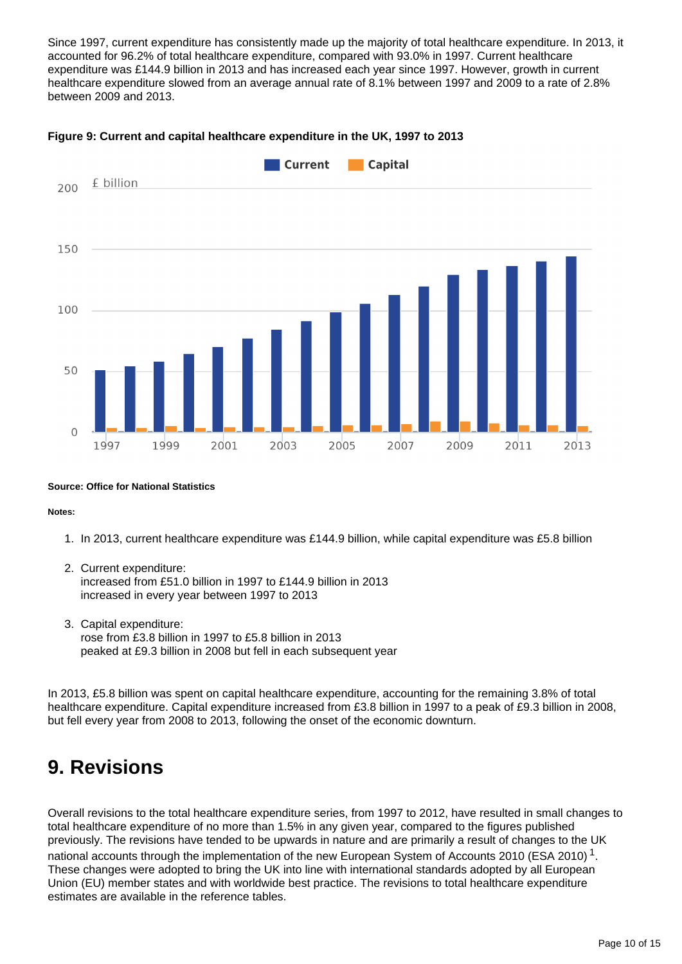Since 1997, current expenditure has consistently made up the majority of total healthcare expenditure. In 2013, it accounted for 96.2% of total healthcare expenditure, compared with 93.0% in 1997. Current healthcare expenditure was £144.9 billion in 2013 and has increased each year since 1997. However, growth in current healthcare expenditure slowed from an average annual rate of 8.1% between 1997 and 2009 to a rate of 2.8% between 2009 and 2013.



#### **Figure 9: Current and capital healthcare expenditure in the UK, 1997 to 2013**

#### **Source: Office for National Statistics**

#### **Notes:**

- 1. In 2013, current healthcare expenditure was £144.9 billion, while capital expenditure was £5.8 billion
- 2. Current expenditure: increased from £51.0 billion in 1997 to £144.9 billion in 2013 increased in every year between 1997 to 2013
- 3. Capital expenditure: rose from £3.8 billion in 1997 to £5.8 billion in 2013 peaked at £9.3 billion in 2008 but fell in each subsequent year

In 2013, £5.8 billion was spent on capital healthcare expenditure, accounting for the remaining 3.8% of total healthcare expenditure. Capital expenditure increased from £3.8 billion in 1997 to a peak of £9.3 billion in 2008, but fell every year from 2008 to 2013, following the onset of the economic downturn.

### <span id="page-9-0"></span>**9. Revisions**

Overall revisions to the total healthcare expenditure series, from 1997 to 2012, have resulted in small changes to total healthcare expenditure of no more than 1.5% in any given year, compared to the figures published previously. The revisions have tended to be upwards in nature and are primarily a result of changes to the UK national accounts through the implementation of the new European System of Accounts 2010 (ESA 2010)<sup>1</sup>. These changes were adopted to bring the UK into line with international standards adopted by all European Union (EU) member states and with worldwide best practice. The revisions to total healthcare expenditure estimates are available in the reference tables.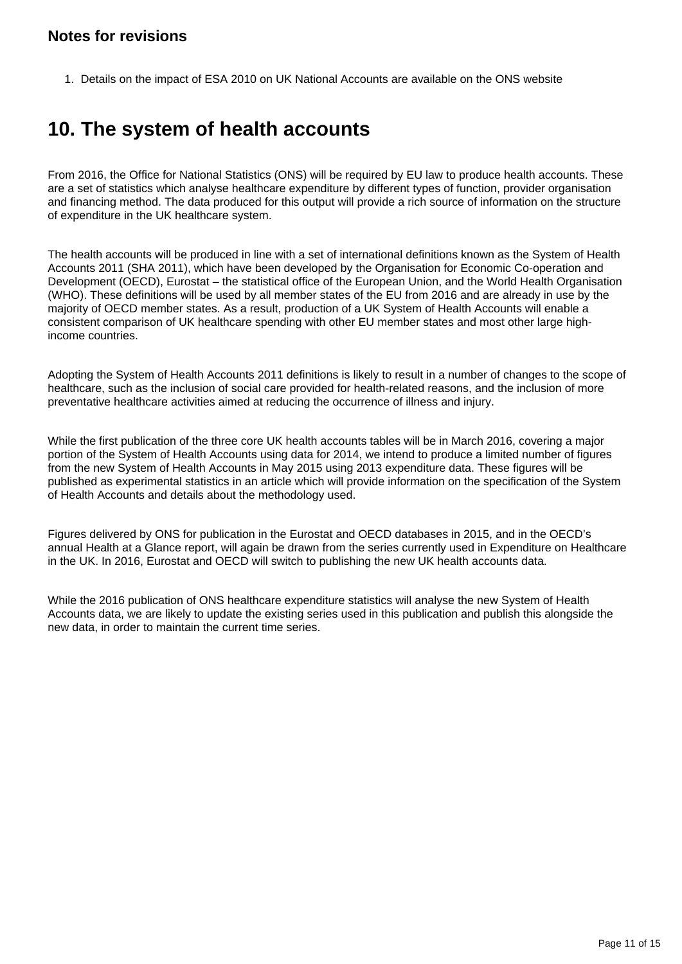### **Notes for revisions**

1. Details on the impact of ESA 2010 on UK National Accounts are available on the ONS website

### <span id="page-10-0"></span>**10. The system of health accounts**

From 2016, the Office for National Statistics (ONS) will be required by EU law to produce health accounts. These are a set of statistics which analyse healthcare expenditure by different types of function, provider organisation and financing method. The data produced for this output will provide a rich source of information on the structure of expenditure in the UK healthcare system.

The health accounts will be produced in line with a set of international definitions known as the System of Health Accounts 2011 (SHA 2011), which have been developed by the Organisation for Economic Co-operation and Development (OECD), Eurostat – the statistical office of the European Union, and the World Health Organisation (WHO). These definitions will be used by all member states of the EU from 2016 and are already in use by the majority of OECD member states. As a result, production of a UK System of Health Accounts will enable a consistent comparison of UK healthcare spending with other EU member states and most other large highincome countries.

Adopting the System of Health Accounts 2011 definitions is likely to result in a number of changes to the scope of healthcare, such as the inclusion of social care provided for health-related reasons, and the inclusion of more preventative healthcare activities aimed at reducing the occurrence of illness and injury.

While the first publication of the three core UK health accounts tables will be in March 2016, covering a major portion of the System of Health Accounts using data for 2014, we intend to produce a limited number of figures from the new System of Health Accounts in May 2015 using 2013 expenditure data. These figures will be published as experimental statistics in an article which will provide information on the specification of the System of Health Accounts and details about the methodology used.

Figures delivered by ONS for publication in the Eurostat and OECD databases in 2015, and in the OECD's annual Health at a Glance report, will again be drawn from the series currently used in Expenditure on Healthcare in the UK. In 2016, Eurostat and OECD will switch to publishing the new UK health accounts data.

While the 2016 publication of ONS healthcare expenditure statistics will analyse the new System of Health Accounts data, we are likely to update the existing series used in this publication and publish this alongside the new data, in order to maintain the current time series.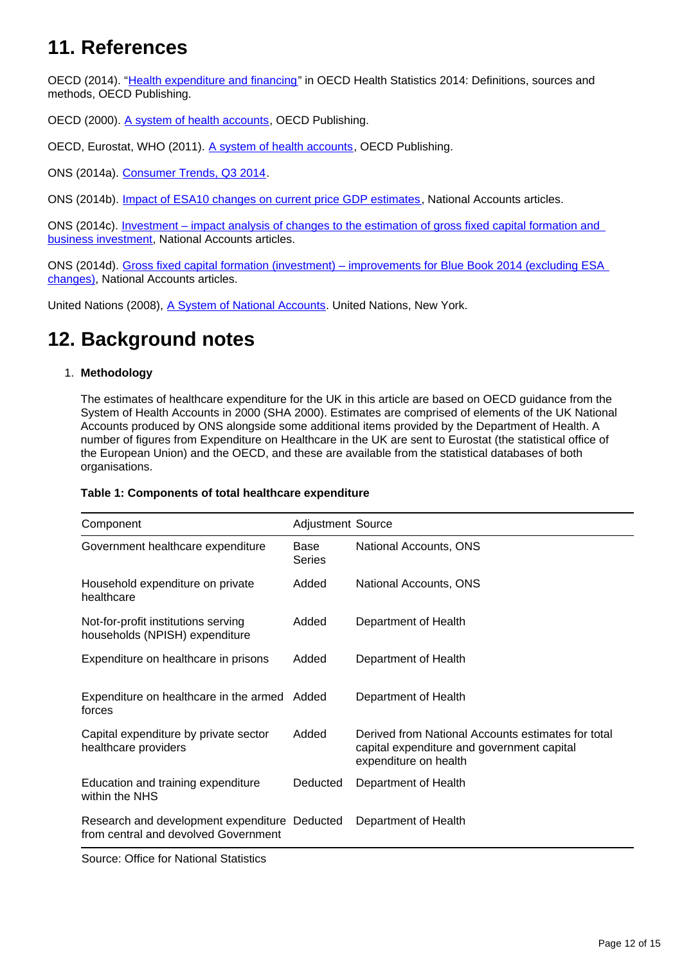## <span id="page-11-0"></span>**11. References**

OECD (2014). "[Health expenditure and financing](http://www.oecd.org/els/health-systems/Table-of-Content-Metadata-OECD-Health-Statistics-2014.pdf)" in OECD Health Statistics 2014: Definitions, sources and methods, OECD Publishing.

OECD (2000). [A system of health accounts](http://www.oecd.org/health/health-systems/21160591.pdf), OECD Publishing.

OECD, Eurostat, WHO (2011). [A system of health accounts,](http://www.oecd-ilibrary.org/social-issues-migration-health/a-system-of-health-accounts_9789264116016-en) OECD Publishing.

ONS (2014a). [Consumer Trends, Q3 2014.](http://www.ons.gov.uk/ons/rel/consumer-trends/consumer-trends/q3-2014/index.html)

ONS (2014b). [Impact of ESA10 changes on current price GDP estimates,](http://www.ons.gov.uk/ons/rel/naa1-rd/national-accounts-articles/impact-of-esa10-changes-on-current-price-gdp-estimates/index.html) National Accounts articles.

ONS (2014c). [Investment – impact analysis of changes to the estimation of gross fixed capital formation and](http://www.ons.gov.uk/ons/rel/naa1-rd/national-accounts-articles/investment---impact-analysis-of-changes-to-the-estimation-of-gross-fixed-capital-formation-and-business-investment/index.html)  [business investment](http://www.ons.gov.uk/ons/rel/naa1-rd/national-accounts-articles/investment---impact-analysis-of-changes-to-the-estimation-of-gross-fixed-capital-formation-and-business-investment/index.html), National Accounts articles.

ONS (2014d). [Gross fixed capital formation \(investment\) – improvements for Blue Book 2014 \(excluding ESA](http://www.ons.gov.uk/ons/rel/naa1-rd/national-accounts-articles/gross-fixed-capital-formation--investment----improvements-for-blue-book-2014--excluding-esa-changes-/index.html)  [changes\)](http://www.ons.gov.uk/ons/rel/naa1-rd/national-accounts-articles/gross-fixed-capital-formation--investment----improvements-for-blue-book-2014--excluding-esa-changes-/index.html), National Accounts articles.

United Nations (2008), [A System of National Accounts.](http://unstats.un.org/unsd/nationalaccount/docs/SNA2008.pdf) United Nations, New York.

### <span id="page-11-1"></span>**12. Background notes**

#### 1. **Methodology**

The estimates of healthcare expenditure for the UK in this article are based on OECD guidance from the System of Health Accounts in 2000 (SHA 2000). Estimates are comprised of elements of the UK National Accounts produced by ONS alongside some additional items provided by the Department of Health. A number of figures from Expenditure on Healthcare in the UK are sent to Eurostat (the statistical office of the European Union) and the OECD, and these are available from the statistical databases of both organisations.

|  | Table 1: Components of total healthcare expenditure |  |  |  |  |
|--|-----------------------------------------------------|--|--|--|--|
|--|-----------------------------------------------------|--|--|--|--|

| Component                                                                             | <b>Adjustment Source</b> |                                                                                                                           |
|---------------------------------------------------------------------------------------|--------------------------|---------------------------------------------------------------------------------------------------------------------------|
| Government healthcare expenditure                                                     | Base<br><b>Series</b>    | National Accounts, ONS                                                                                                    |
| Household expenditure on private<br>healthcare                                        | Added                    | National Accounts, ONS                                                                                                    |
| Not-for-profit institutions serving<br>households (NPISH) expenditure                 | Added                    | Department of Health                                                                                                      |
| Expenditure on healthcare in prisons                                                  | Added                    | Department of Health                                                                                                      |
| Expenditure on healthcare in the armed Added<br>forces                                |                          | Department of Health                                                                                                      |
| Capital expenditure by private sector<br>healthcare providers                         | Added                    | Derived from National Accounts estimates for total<br>capital expenditure and government capital<br>expenditure on health |
| Education and training expenditure<br>within the NHS                                  | Deducted                 | Department of Health                                                                                                      |
| Research and development expenditure Deducted<br>from central and devolved Government |                          | Department of Health                                                                                                      |

Source: Office for National Statistics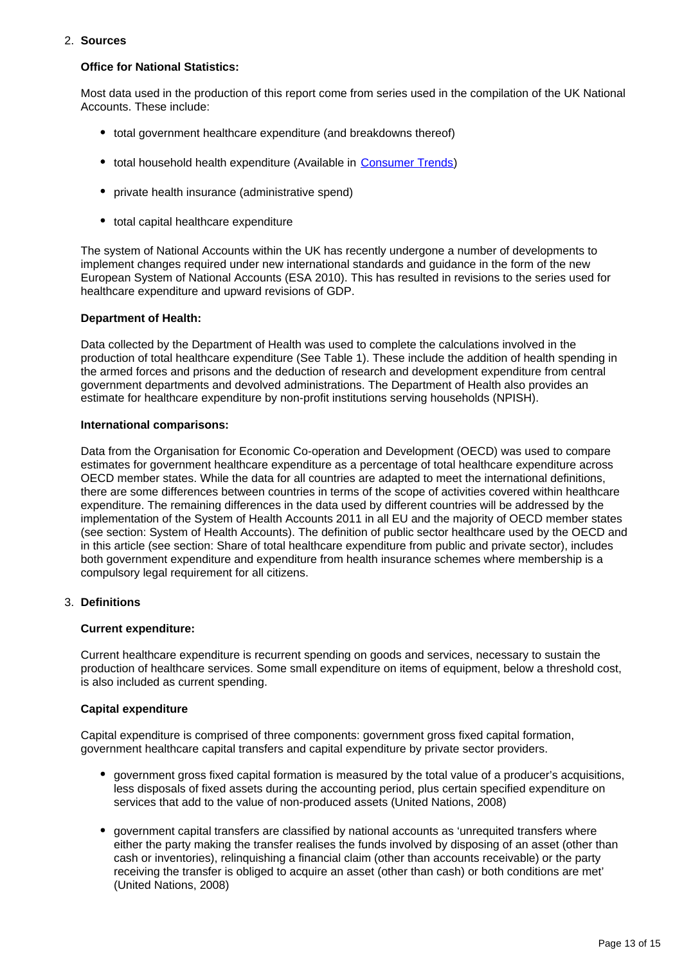#### 2. **Sources**

#### **Office for National Statistics:**

Most data used in the production of this report come from series used in the compilation of the UK National Accounts. These include:

- total government healthcare expenditure (and breakdowns thereof)
- total household health expenditure (Available in [Consumer Trends](http://www.ons.gov.uk/ons/rel/consumer-trends/consumer-trends/q3-2014/index.html))
- private health insurance (administrative spend)
- total capital healthcare expenditure

The system of National Accounts within the UK has recently undergone a number of developments to implement changes required under new international standards and guidance in the form of the new European System of National Accounts (ESA 2010). This has resulted in revisions to the series used for healthcare expenditure and upward revisions of GDP.

#### **Department of Health:**

Data collected by the Department of Health was used to complete the calculations involved in the production of total healthcare expenditure (See Table 1). These include the addition of health spending in the armed forces and prisons and the deduction of research and development expenditure from central government departments and devolved administrations. The Department of Health also provides an estimate for healthcare expenditure by non-profit institutions serving households (NPISH).

#### **International comparisons:**

Data from the Organisation for Economic Co-operation and Development (OECD) was used to compare estimates for government healthcare expenditure as a percentage of total healthcare expenditure across OECD member states. While the data for all countries are adapted to meet the international definitions, there are some differences between countries in terms of the scope of activities covered within healthcare expenditure. The remaining differences in the data used by different countries will be addressed by the implementation of the System of Health Accounts 2011 in all EU and the majority of OECD member states (see section: System of Health Accounts). The definition of public sector healthcare used by the OECD and in this article (see section: Share of total healthcare expenditure from public and private sector), includes both government expenditure and expenditure from health insurance schemes where membership is a compulsory legal requirement for all citizens.

#### 3. **Definitions**

#### **Current expenditure:**

Current healthcare expenditure is recurrent spending on goods and services, necessary to sustain the production of healthcare services. Some small expenditure on items of equipment, below a threshold cost, is also included as current spending.

#### **Capital expenditure**

Capital expenditure is comprised of three components: government gross fixed capital formation, government healthcare capital transfers and capital expenditure by private sector providers.

- government gross fixed capital formation is measured by the total value of a producer's acquisitions, less disposals of fixed assets during the accounting period, plus certain specified expenditure on services that add to the value of non-produced assets (United Nations, 2008)
- government capital transfers are classified by national accounts as 'unrequited transfers where either the party making the transfer realises the funds involved by disposing of an asset (other than cash or inventories), relinquishing a financial claim (other than accounts receivable) or the party receiving the transfer is obliged to acquire an asset (other than cash) or both conditions are met' (United Nations, 2008)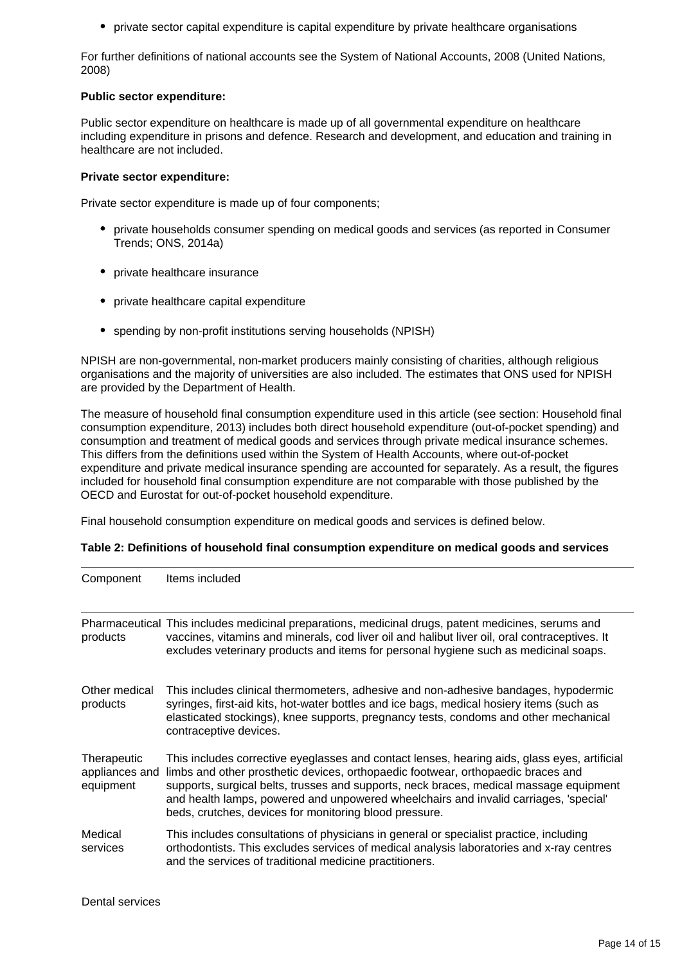• private sector capital expenditure is capital expenditure by private healthcare organisations

For further definitions of national accounts see the System of National Accounts, 2008 (United Nations, 2008)

#### **Public sector expenditure:**

Public sector expenditure on healthcare is made up of all governmental expenditure on healthcare including expenditure in prisons and defence. Research and development, and education and training in healthcare are not included.

#### **Private sector expenditure:**

Private sector expenditure is made up of four components;

- private households consumer spending on medical goods and services (as reported in Consumer Trends; ONS, 2014a)
- private healthcare insurance
- private healthcare capital expenditure
- spending by non-profit institutions serving households (NPISH)

NPISH are non-governmental, non-market producers mainly consisting of charities, although religious organisations and the majority of universities are also included. The estimates that ONS used for NPISH are provided by the Department of Health.

The measure of household final consumption expenditure used in this article (see section: Household final consumption expenditure, 2013) includes both direct household expenditure (out-of-pocket spending) and consumption and treatment of medical goods and services through private medical insurance schemes. This differs from the definitions used within the System of Health Accounts, where out-of-pocket expenditure and private medical insurance spending are accounted for separately. As a result, the figures included for household final consumption expenditure are not comparable with those published by the OECD and Eurostat for out-of-pocket household expenditure.

Final household consumption expenditure on medical goods and services is defined below.

| Component                                  | Items included                                                                                                                                                                                                                                                                                                                                                                                                               |
|--------------------------------------------|------------------------------------------------------------------------------------------------------------------------------------------------------------------------------------------------------------------------------------------------------------------------------------------------------------------------------------------------------------------------------------------------------------------------------|
| products                                   | Pharmaceutical This includes medicinal preparations, medicinal drugs, patent medicines, serums and<br>vaccines, vitamins and minerals, cod liver oil and halibut liver oil, oral contraceptives. It<br>excludes veterinary products and items for personal hygiene such as medicinal soaps.                                                                                                                                  |
| Other medical<br>products                  | This includes clinical thermometers, adhesive and non-adhesive bandages, hypodermic<br>syringes, first-aid kits, hot-water bottles and ice bags, medical hosiery items (such as<br>elasticated stockings), knee supports, pregnancy tests, condoms and other mechanical<br>contraceptive devices.                                                                                                                            |
| Therapeutic<br>appliances and<br>equipment | This includes corrective eyeglasses and contact lenses, hearing aids, glass eyes, artificial<br>limbs and other prosthetic devices, orthopaedic footwear, orthopaedic braces and<br>supports, surgical belts, trusses and supports, neck braces, medical massage equipment<br>and health lamps, powered and unpowered wheelchairs and invalid carriages, 'special'<br>beds, crutches, devices for monitoring blood pressure. |
| Medical<br>services                        | This includes consultations of physicians in general or specialist practice, including<br>orthodontists. This excludes services of medical analysis laboratories and x-ray centres<br>and the services of traditional medicine practitioners.                                                                                                                                                                                |

#### **Table 2: Definitions of household final consumption expenditure on medical goods and services**